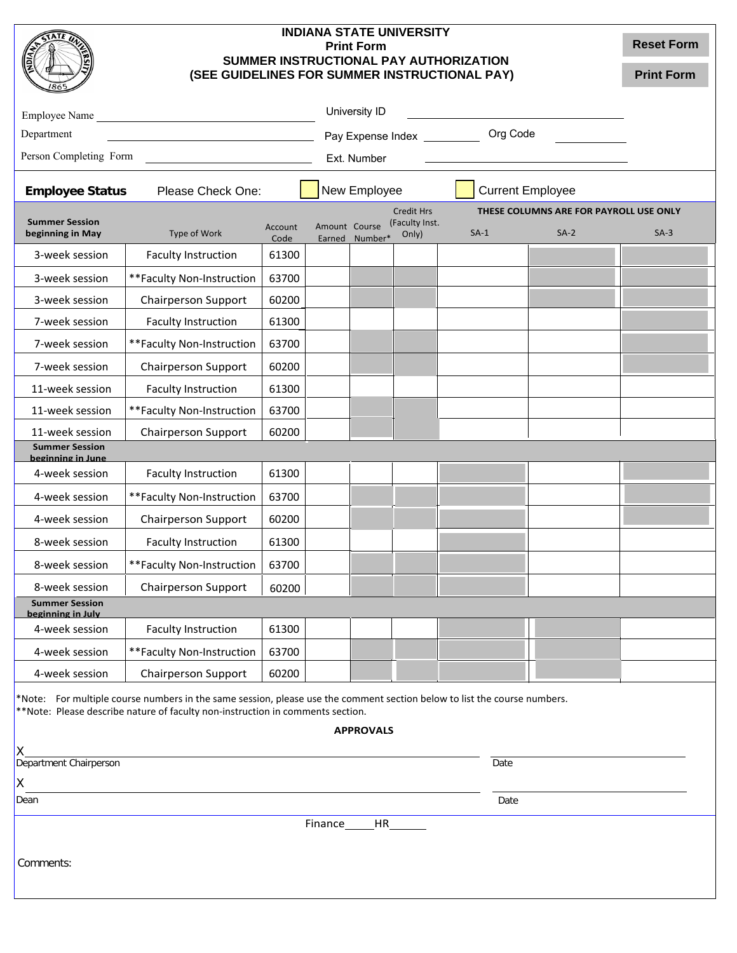|                                                                                                                                                                                                            | <b>INDIANA STATE UNIVERSITY</b><br><b>Print Form</b><br>SUMMER INSTRUCTIONAL PAY AUTHORIZATION<br>(SEE GUIDELINES FOR SUMMER INSTRUCTIONAL PAY) |                 |                         |         |                         |                         |                                        | <b>Reset Form</b> |
|------------------------------------------------------------------------------------------------------------------------------------------------------------------------------------------------------------|-------------------------------------------------------------------------------------------------------------------------------------------------|-----------------|-------------------------|---------|-------------------------|-------------------------|----------------------------------------|-------------------|
|                                                                                                                                                                                                            |                                                                                                                                                 |                 |                         |         |                         |                         |                                        | <b>Print Form</b> |
| University ID<br><b>Employee Name</b>                                                                                                                                                                      |                                                                                                                                                 |                 |                         |         |                         |                         |                                        |                   |
| Org Code<br>Department<br>Pay Expense Index __________                                                                                                                                                     |                                                                                                                                                 |                 |                         |         |                         |                         |                                        |                   |
| Person Completing Form<br>Ext. Number                                                                                                                                                                      |                                                                                                                                                 |                 |                         |         |                         |                         |                                        |                   |
| Please Check One:<br><b>Employee Status</b>                                                                                                                                                                |                                                                                                                                                 |                 | New Employee            |         |                         | <b>Current Employee</b> |                                        |                   |
| <b>Summer Session</b>                                                                                                                                                                                      |                                                                                                                                                 |                 |                         |         | <b>Credit Hrs</b>       |                         | THESE COLUMNS ARE FOR PAYROLL USE ONLY |                   |
| beginning in May                                                                                                                                                                                           | Type of Work                                                                                                                                    | Account<br>Code | Amount Course<br>Earned | Number* | (Faculty Inst.<br>Only) | $SA-1$                  | $SA-2$                                 | $SA-3$            |
| 3-week session                                                                                                                                                                                             | <b>Faculty Instruction</b>                                                                                                                      | 61300           |                         |         |                         |                         |                                        |                   |
| 3-week session                                                                                                                                                                                             | **Faculty Non-Instruction                                                                                                                       | 63700           |                         |         |                         |                         |                                        |                   |
| 3-week session                                                                                                                                                                                             | <b>Chairperson Support</b>                                                                                                                      | 60200           |                         |         |                         |                         |                                        |                   |
| 7-week session                                                                                                                                                                                             | Faculty Instruction                                                                                                                             | 61300           |                         |         |                         |                         |                                        |                   |
| 7-week session                                                                                                                                                                                             | **Faculty Non-Instruction                                                                                                                       | 63700           |                         |         |                         |                         |                                        |                   |
| 7-week session                                                                                                                                                                                             | <b>Chairperson Support</b>                                                                                                                      | 60200           |                         |         |                         |                         |                                        |                   |
| 11-week session                                                                                                                                                                                            | <b>Faculty Instruction</b>                                                                                                                      | 61300           |                         |         |                         |                         |                                        |                   |
| 11-week session                                                                                                                                                                                            | **Faculty Non-Instruction                                                                                                                       | 63700           |                         |         |                         |                         |                                        |                   |
| 11-week session                                                                                                                                                                                            | <b>Chairperson Support</b>                                                                                                                      | 60200           |                         |         |                         |                         |                                        |                   |
| <b>Summer Session</b><br>beginning in June                                                                                                                                                                 |                                                                                                                                                 |                 |                         |         |                         |                         |                                        |                   |
| 4-week session                                                                                                                                                                                             | <b>Faculty Instruction</b>                                                                                                                      | 61300           |                         |         |                         |                         |                                        |                   |
| 4-week session                                                                                                                                                                                             | **Faculty Non-Instruction                                                                                                                       | 63700           |                         |         |                         |                         |                                        |                   |
| 4-week session                                                                                                                                                                                             | <b>Chairperson Support</b>                                                                                                                      | 60200           |                         |         |                         |                         |                                        |                   |
| 8-week session                                                                                                                                                                                             | <b>Faculty Instruction</b>                                                                                                                      | 61300           |                         |         |                         |                         |                                        |                   |
| 8-week session                                                                                                                                                                                             | **Faculty Non-Instruction                                                                                                                       | 63700           |                         |         |                         |                         |                                        |                   |
| 8-week session                                                                                                                                                                                             | <b>Chairperson Support</b>                                                                                                                      | 60200           |                         |         |                         |                         |                                        |                   |
| <b>Summer Session</b><br>beginning in July                                                                                                                                                                 |                                                                                                                                                 |                 |                         |         |                         |                         |                                        |                   |
| 4-week session                                                                                                                                                                                             | <b>Faculty Instruction</b>                                                                                                                      | 61300           |                         |         |                         |                         |                                        |                   |
| 4-week session                                                                                                                                                                                             | **Faculty Non-Instruction                                                                                                                       | 63700           |                         |         |                         |                         |                                        |                   |
| 4-week session                                                                                                                                                                                             | <b>Chairperson Support</b>                                                                                                                      | 60200           |                         |         |                         |                         |                                        |                   |
| *Note: For multiple course numbers in the same session, please use the comment section below to list the course numbers.<br>**Note: Please describe nature of faculty non-instruction in comments section. |                                                                                                                                                 |                 |                         |         |                         |                         |                                        |                   |
|                                                                                                                                                                                                            |                                                                                                                                                 |                 |                         |         |                         |                         |                                        |                   |
| <b>APPROVALS</b>                                                                                                                                                                                           |                                                                                                                                                 |                 |                         |         |                         |                         |                                        |                   |
| Department Chairperson<br>Date                                                                                                                                                                             |                                                                                                                                                 |                 |                         |         |                         |                         |                                        |                   |
| Χ                                                                                                                                                                                                          |                                                                                                                                                 |                 |                         |         |                         |                         |                                        |                   |
| Dean<br>Date                                                                                                                                                                                               |                                                                                                                                                 |                 |                         |         |                         |                         |                                        |                   |
| Finance<br>HR                                                                                                                                                                                              |                                                                                                                                                 |                 |                         |         |                         |                         |                                        |                   |
|                                                                                                                                                                                                            |                                                                                                                                                 |                 |                         |         |                         |                         |                                        |                   |
| Comments:                                                                                                                                                                                                  |                                                                                                                                                 |                 |                         |         |                         |                         |                                        |                   |
|                                                                                                                                                                                                            |                                                                                                                                                 |                 |                         |         |                         |                         |                                        |                   |